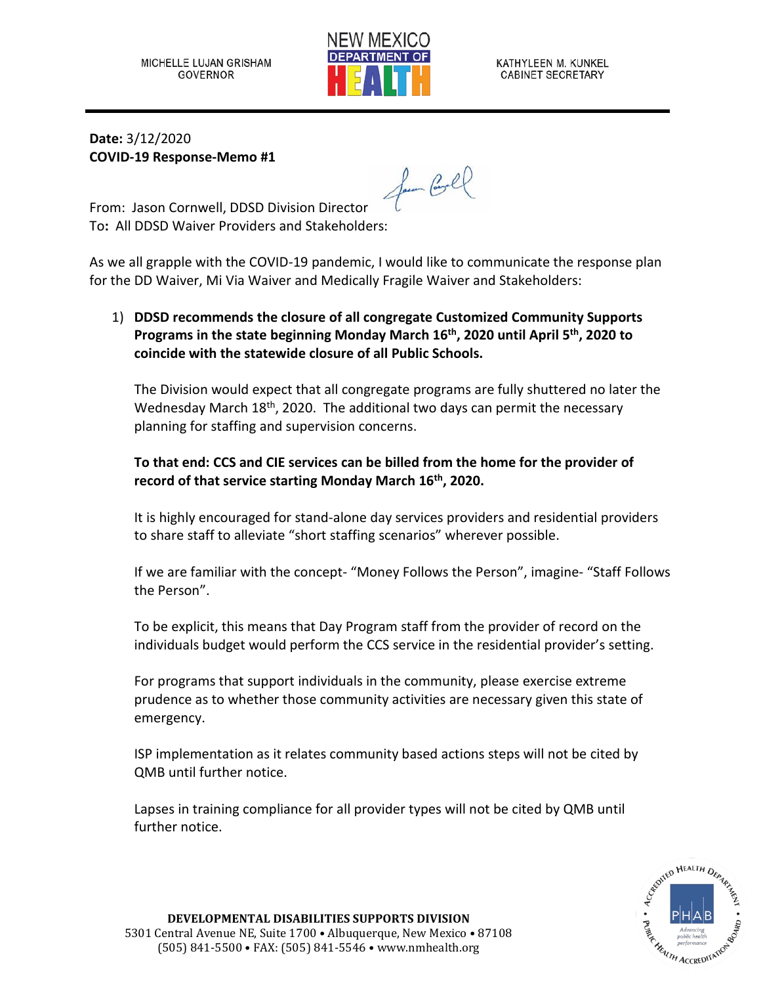

KATHYLEEN M. KUNKEL **CABINET SECRETARY** 

**Date:** 3/12/2020 **COVID-19 Response-Memo #1**

fun Gel

From: Jason Cornwell, DDSD Division Director To**:** All DDSD Waiver Providers and Stakeholders:

As we all grapple with the COVID-19 pandemic, I would like to communicate the response plan for the DD Waiver, Mi Via Waiver and Medically Fragile Waiver and Stakeholders:

## 1) **DDSD recommends the closure of all congregate Customized Community Supports Programs in the state beginning Monday March 16th, 2020 until April 5th, 2020 to coincide with the statewide closure of all Public Schools.**

The Division would expect that all congregate programs are fully shuttered no later the Wednesday March 18<sup>th</sup>, 2020. The additional two days can permit the necessary planning for staffing and supervision concerns.

## **To that end: CCS and CIE services can be billed from the home for the provider of record of that service starting Monday March 16th, 2020.**

It is highly encouraged for stand-alone day services providers and residential providers to share staff to alleviate "short staffing scenarios" wherever possible.

If we are familiar with the concept- "Money Follows the Person", imagine- "Staff Follows the Person".

To be explicit, this means that Day Program staff from the provider of record on the individuals budget would perform the CCS service in the residential provider's setting.

For programs that support individuals in the community, please exercise extreme prudence as to whether those community activities are necessary given this state of emergency.

ISP implementation as it relates community based actions steps will not be cited by QMB until further notice.

Lapses in training compliance for all provider types will not be cited by QMB until further notice.

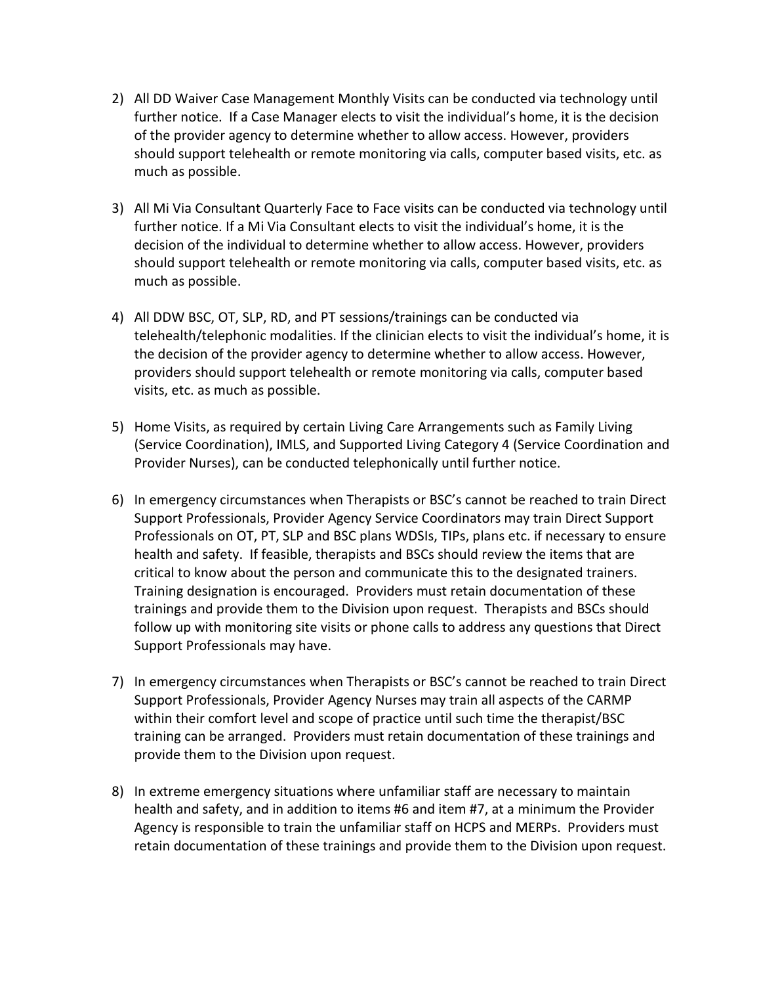- 2) All DD Waiver Case Management Monthly Visits can be conducted via technology until further notice. If a Case Manager elects to visit the individual's home, it is the decision of the provider agency to determine whether to allow access. However, providers should support telehealth or remote monitoring via calls, computer based visits, etc. as much as possible.
- 3) All Mi Via Consultant Quarterly Face to Face visits can be conducted via technology until further notice. If a Mi Via Consultant elects to visit the individual's home, it is the decision of the individual to determine whether to allow access. However, providers should support telehealth or remote monitoring via calls, computer based visits, etc. as much as possible.
- 4) All DDW BSC, OT, SLP, RD, and PT sessions/trainings can be conducted via telehealth/telephonic modalities. If the clinician elects to visit the individual's home, it is the decision of the provider agency to determine whether to allow access. However, providers should support telehealth or remote monitoring via calls, computer based visits, etc. as much as possible.
- 5) Home Visits, as required by certain Living Care Arrangements such as Family Living (Service Coordination), IMLS, and Supported Living Category 4 (Service Coordination and Provider Nurses), can be conducted telephonically until further notice.
- 6) In emergency circumstances when Therapists or BSC's cannot be reached to train Direct Support Professionals, Provider Agency Service Coordinators may train Direct Support Professionals on OT, PT, SLP and BSC plans WDSIs, TIPs, plans etc. if necessary to ensure health and safety. If feasible, therapists and BSCs should review the items that are critical to know about the person and communicate this to the designated trainers. Training designation is encouraged. Providers must retain documentation of these trainings and provide them to the Division upon request. Therapists and BSCs should follow up with monitoring site visits or phone calls to address any questions that Direct Support Professionals may have.
- 7) In emergency circumstances when Therapists or BSC's cannot be reached to train Direct Support Professionals, Provider Agency Nurses may train all aspects of the CARMP within their comfort level and scope of practice until such time the therapist/BSC training can be arranged. Providers must retain documentation of these trainings and provide them to the Division upon request.
- 8) In extreme emergency situations where unfamiliar staff are necessary to maintain health and safety, and in addition to items #6 and item #7, at a minimum the Provider Agency is responsible to train the unfamiliar staff on HCPS and MERPs. Providers must retain documentation of these trainings and provide them to the Division upon request.